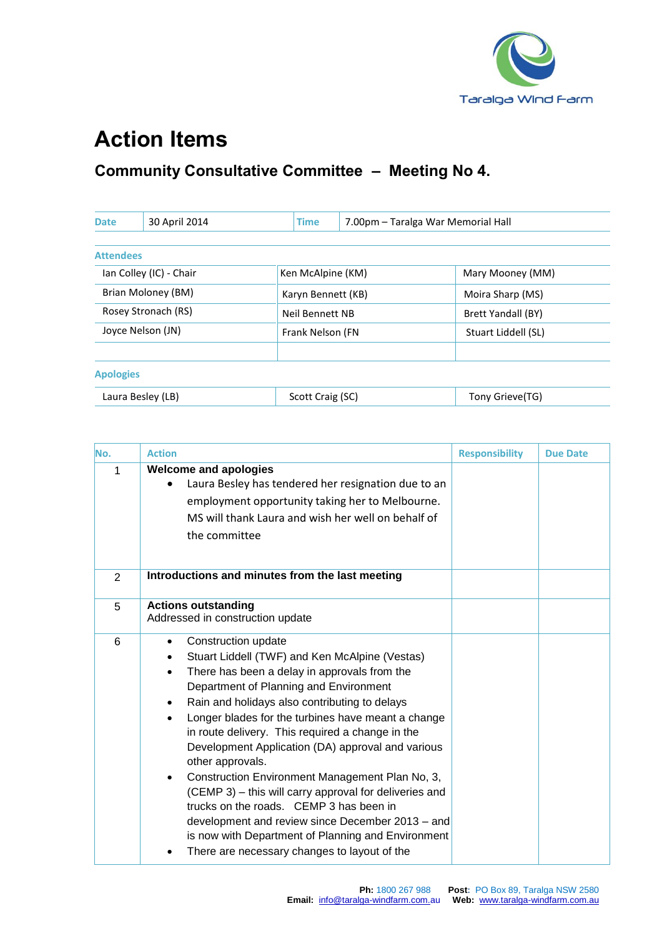

## **Action Items**

## **Community Consultative Committee – Meeting No 4.**

| <b>Date</b>             | 30 April 2014       | <b>Time</b>        |  | 7.00pm - Taralga War Memorial Hall |  |
|-------------------------|---------------------|--------------------|--|------------------------------------|--|
|                         |                     |                    |  |                                    |  |
| <b>Attendees</b>        |                     |                    |  |                                    |  |
| Ian Colley (IC) - Chair |                     | Ken McAlpine (KM)  |  | Mary Mooney (MM)                   |  |
| Brian Moloney (BM)      |                     | Karyn Bennett (KB) |  | Moira Sharp (MS)                   |  |
|                         | Rosey Stronach (RS) | Neil Bennett NB    |  | Brett Yandall (BY)                 |  |
| Joyce Nelson (JN)       |                     | Frank Nelson (FN   |  | Stuart Liddell (SL)                |  |
|                         |                     |                    |  |                                    |  |
| <b>Apologies</b>        |                     |                    |  |                                    |  |
|                         | Laura Besley (LB)   | Scott Craig (SC)   |  | Tony Grieve(TG)                    |  |

| No. | <b>Action</b>                                                                                                                                                                                                                                                                                                                                                                                                                                                                                                                                                                                                                                                                                                                                                                  | <b>Responsibility</b> | <b>Due Date</b> |
|-----|--------------------------------------------------------------------------------------------------------------------------------------------------------------------------------------------------------------------------------------------------------------------------------------------------------------------------------------------------------------------------------------------------------------------------------------------------------------------------------------------------------------------------------------------------------------------------------------------------------------------------------------------------------------------------------------------------------------------------------------------------------------------------------|-----------------------|-----------------|
| 1   | <b>Welcome and apologies</b><br>Laura Besley has tendered her resignation due to an<br>employment opportunity taking her to Melbourne.<br>MS will thank Laura and wish her well on behalf of<br>the committee                                                                                                                                                                                                                                                                                                                                                                                                                                                                                                                                                                  |                       |                 |
| 2   | Introductions and minutes from the last meeting                                                                                                                                                                                                                                                                                                                                                                                                                                                                                                                                                                                                                                                                                                                                |                       |                 |
| 5   | <b>Actions outstanding</b><br>Addressed in construction update                                                                                                                                                                                                                                                                                                                                                                                                                                                                                                                                                                                                                                                                                                                 |                       |                 |
| 6   | Construction update<br>٠<br>Stuart Liddell (TWF) and Ken McAlpine (Vestas)<br>There has been a delay in approvals from the<br>$\bullet$<br>Department of Planning and Environment<br>Rain and holidays also contributing to delays<br>$\bullet$<br>Longer blades for the turbines have meant a change<br>$\bullet$<br>in route delivery. This required a change in the<br>Development Application (DA) approval and various<br>other approvals.<br>Construction Environment Management Plan No, 3,<br>$\bullet$<br>(CEMP 3) – this will carry approval for deliveries and<br>trucks on the roads. CEMP 3 has been in<br>development and review since December 2013 - and<br>is now with Department of Planning and Environment<br>There are necessary changes to layout of the |                       |                 |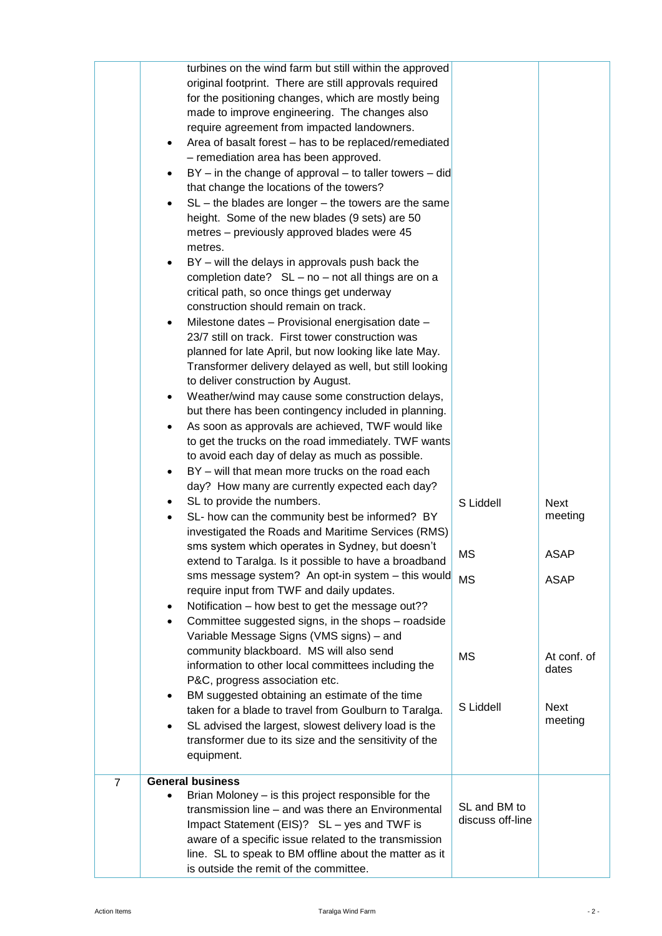|                | ٠<br>٠    | turbines on the wind farm but still within the approved<br>original footprint. There are still approvals required<br>for the positioning changes, which are mostly being<br>made to improve engineering. The changes also<br>require agreement from impacted landowners.<br>Area of basalt forest - has to be replaced/remediated<br>- remediation area has been approved.<br>$BY - in$ the change of approval $-$ to taller towers $-$ did<br>that change the locations of the towers?<br>$SL$ – the blades are longer – the towers are the same<br>height. Some of the new blades (9 sets) are 50<br>metres - previously approved blades were 45<br>metres.<br>BY - will the delays in approvals push back the<br>completion date? $SL - no - not$ all things are on a<br>critical path, so once things get underway<br>construction should remain on track.<br>Milestone dates - Provisional energisation date -<br>23/7 still on track. First tower construction was<br>planned for late April, but now looking like late May.<br>Transformer delivery delayed as well, but still looking<br>to deliver construction by August.<br>Weather/wind may cause some construction delays,<br>but there has been contingency included in planning.<br>As soon as approvals are achieved, TWF would like<br>to get the trucks on the road immediately. TWF wants<br>to avoid each day of delay as much as possible.<br>BY - will that mean more trucks on the road each<br>day? How many are currently expected each day? |                                  |                      |
|----------------|-----------|-----------------------------------------------------------------------------------------------------------------------------------------------------------------------------------------------------------------------------------------------------------------------------------------------------------------------------------------------------------------------------------------------------------------------------------------------------------------------------------------------------------------------------------------------------------------------------------------------------------------------------------------------------------------------------------------------------------------------------------------------------------------------------------------------------------------------------------------------------------------------------------------------------------------------------------------------------------------------------------------------------------------------------------------------------------------------------------------------------------------------------------------------------------------------------------------------------------------------------------------------------------------------------------------------------------------------------------------------------------------------------------------------------------------------------------------------------------------------------------------------------------------------|----------------------------------|----------------------|
|                |           | SL to provide the numbers.                                                                                                                                                                                                                                                                                                                                                                                                                                                                                                                                                                                                                                                                                                                                                                                                                                                                                                                                                                                                                                                                                                                                                                                                                                                                                                                                                                                                                                                                                            | S Liddell                        | <b>Next</b>          |
|                |           | SL- how can the community best be informed? BY                                                                                                                                                                                                                                                                                                                                                                                                                                                                                                                                                                                                                                                                                                                                                                                                                                                                                                                                                                                                                                                                                                                                                                                                                                                                                                                                                                                                                                                                        |                                  | meeting              |
|                |           | investigated the Roads and Maritime Services (RMS)<br>sms system which operates in Sydney, but doesn't                                                                                                                                                                                                                                                                                                                                                                                                                                                                                                                                                                                                                                                                                                                                                                                                                                                                                                                                                                                                                                                                                                                                                                                                                                                                                                                                                                                                                |                                  |                      |
|                |           | extend to Taralga. Is it possible to have a broadband                                                                                                                                                                                                                                                                                                                                                                                                                                                                                                                                                                                                                                                                                                                                                                                                                                                                                                                                                                                                                                                                                                                                                                                                                                                                                                                                                                                                                                                                 | MS                               | <b>ASAP</b>          |
|                |           | sms message system? An opt-in system - this would<br>require input from TWF and daily updates.                                                                                                                                                                                                                                                                                                                                                                                                                                                                                                                                                                                                                                                                                                                                                                                                                                                                                                                                                                                                                                                                                                                                                                                                                                                                                                                                                                                                                        | <b>MS</b>                        | <b>ASAP</b>          |
|                | $\bullet$ | Notification – how best to get the message out??                                                                                                                                                                                                                                                                                                                                                                                                                                                                                                                                                                                                                                                                                                                                                                                                                                                                                                                                                                                                                                                                                                                                                                                                                                                                                                                                                                                                                                                                      |                                  |                      |
|                |           | Committee suggested signs, in the shops - roadside<br>Variable Message Signs (VMS signs) - and                                                                                                                                                                                                                                                                                                                                                                                                                                                                                                                                                                                                                                                                                                                                                                                                                                                                                                                                                                                                                                                                                                                                                                                                                                                                                                                                                                                                                        |                                  |                      |
|                |           | community blackboard. MS will also send<br>information to other local committees including the<br>P&C, progress association etc.                                                                                                                                                                                                                                                                                                                                                                                                                                                                                                                                                                                                                                                                                                                                                                                                                                                                                                                                                                                                                                                                                                                                                                                                                                                                                                                                                                                      | <b>MS</b>                        | At conf. of<br>dates |
|                | $\bullet$ | BM suggested obtaining an estimate of the time<br>taken for a blade to travel from Goulburn to Taralga.                                                                                                                                                                                                                                                                                                                                                                                                                                                                                                                                                                                                                                                                                                                                                                                                                                                                                                                                                                                                                                                                                                                                                                                                                                                                                                                                                                                                               | S Liddell                        | <b>Next</b>          |
|                |           | SL advised the largest, slowest delivery load is the<br>transformer due to its size and the sensitivity of the<br>equipment.                                                                                                                                                                                                                                                                                                                                                                                                                                                                                                                                                                                                                                                                                                                                                                                                                                                                                                                                                                                                                                                                                                                                                                                                                                                                                                                                                                                          |                                  | meeting              |
| $\overline{7}$ |           | <b>General business</b>                                                                                                                                                                                                                                                                                                                                                                                                                                                                                                                                                                                                                                                                                                                                                                                                                                                                                                                                                                                                                                                                                                                                                                                                                                                                                                                                                                                                                                                                                               |                                  |                      |
|                |           | Brian Moloney – is this project responsible for the<br>transmission line - and was there an Environmental<br>Impact Statement (EIS)? SL - yes and TWF is<br>aware of a specific issue related to the transmission<br>line. SL to speak to BM offline about the matter as it<br>is outside the remit of the committee.                                                                                                                                                                                                                                                                                                                                                                                                                                                                                                                                                                                                                                                                                                                                                                                                                                                                                                                                                                                                                                                                                                                                                                                                 | SL and BM to<br>discuss off-line |                      |